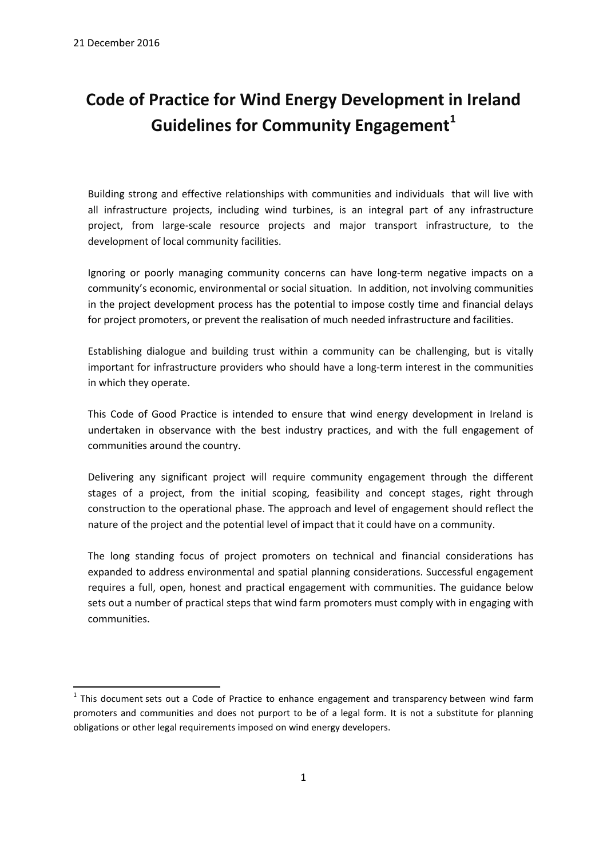**.** 

# **Code of Practice for Wind Energy Development in Ireland Guidelines for Community Engagement<sup>1</sup>**

Building strong and effective relationships with communities and individuals that will live with all infrastructure projects, including wind turbines, is an integral part of any infrastructure project, from large-scale resource projects and major transport infrastructure, to the development of local community facilities.

Ignoring or poorly managing community concerns can have long-term negative impacts on a community's economic, environmental or social situation. In addition, not involving communities in the project development process has the potential to impose costly time and financial delays for project promoters, or prevent the realisation of much needed infrastructure and facilities.

Establishing dialogue and building trust within a community can be challenging, but is vitally important for infrastructure providers who should have a long-term interest in the communities in which they operate.

This Code of Good Practice is intended to ensure that wind energy development in Ireland is undertaken in observance with the best industry practices, and with the full engagement of communities around the country.

Delivering any significant project will require community engagement through the different stages of a project, from the initial scoping, feasibility and concept stages, right through construction to the operational phase. The approach and level of engagement should reflect the nature of the project and the potential level of impact that it could have on a community.

The long standing focus of project promoters on technical and financial considerations has expanded to address environmental and spatial planning considerations. Successful engagement requires a full, open, honest and practical engagement with communities. The guidance below sets out a number of practical steps that wind farm promoters must comply with in engaging with communities.

 $1$  This document sets out a Code of Practice to enhance engagement and transparency between wind farm promoters and communities and does not purport to be of a legal form. It is not a substitute for planning obligations or other legal requirements imposed on wind energy developers.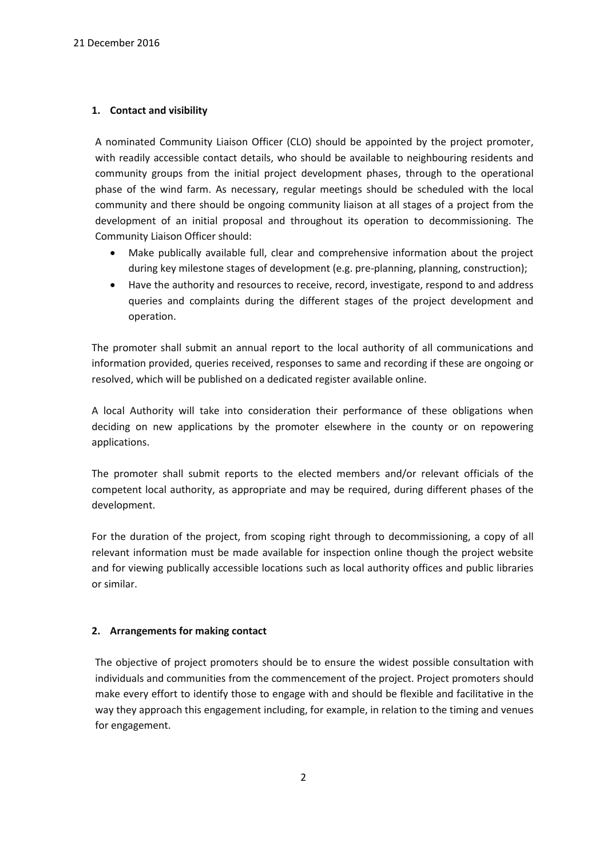#### **1. Contact and visibility**

A nominated Community Liaison Officer (CLO) should be appointed by the project promoter, with readily accessible contact details, who should be available to neighbouring residents and community groups from the initial project development phases, through to the operational phase of the wind farm. As necessary, regular meetings should be scheduled with the local community and there should be ongoing community liaison at all stages of a project from the development of an initial proposal and throughout its operation to decommissioning. The Community Liaison Officer should:

- Make publically available full, clear and comprehensive information about the project during key milestone stages of development (e.g. pre-planning, planning, construction);
- Have the authority and resources to receive, record, investigate, respond to and address queries and complaints during the different stages of the project development and operation.

The promoter shall submit an annual report to the local authority of all communications and information provided, queries received, responses to same and recording if these are ongoing or resolved, which will be published on a dedicated register available online.

A local Authority will take into consideration their performance of these obligations when deciding on new applications by the promoter elsewhere in the county or on repowering applications.

The promoter shall submit reports to the elected members and/or relevant officials of the competent local authority, as appropriate and may be required, during different phases of the development.

For the duration of the project, from scoping right through to decommissioning, a copy of all relevant information must be made available for inspection online though the project website and for viewing publically accessible locations such as local authority offices and public libraries or similar.

#### **2. Arrangements for making contact**

The objective of project promoters should be to ensure the widest possible consultation with individuals and communities from the commencement of the project. Project promoters should make every effort to identify those to engage with and should be flexible and facilitative in the way they approach this engagement including, for example, in relation to the timing and venues for engagement.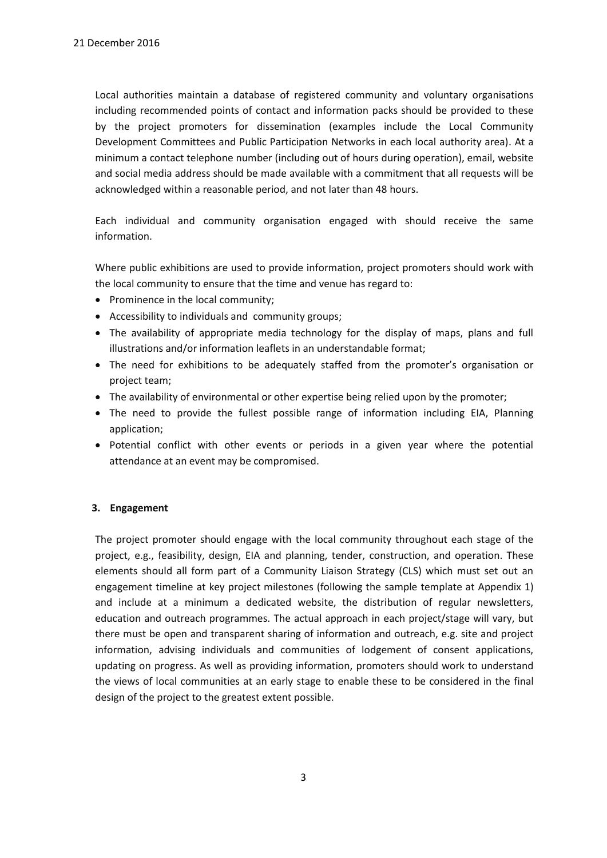Local authorities maintain a database of registered community and voluntary organisations including recommended points of contact and information packs should be provided to these by the project promoters for dissemination (examples include the Local Community Development Committees and Public Participation Networks in each local authority area). At a minimum a contact telephone number (including out of hours during operation), email, website and social media address should be made available with a commitment that all requests will be acknowledged within a reasonable period, and not later than 48 hours.

Each individual and community organisation engaged with should receive the same information.

Where public exhibitions are used to provide information, project promoters should work with the local community to ensure that the time and venue has regard to:

- Prominence in the local community;
- Accessibility to individuals and community groups;
- The availability of appropriate media technology for the display of maps, plans and full illustrations and/or information leaflets in an understandable format;
- The need for exhibitions to be adequately staffed from the promoter's organisation or project team;
- The availability of environmental or other expertise being relied upon by the promoter;
- The need to provide the fullest possible range of information including EIA, Planning application;
- Potential conflict with other events or periods in a given year where the potential attendance at an event may be compromised.

## **3. Engagement**

The project promoter should engage with the local community throughout each stage of the project, e.g., feasibility, design, EIA and planning, tender, construction, and operation. These elements should all form part of a Community Liaison Strategy (CLS) which must set out an engagement timeline at key project milestones (following the sample template at Appendix 1) and include at a minimum a dedicated website, the distribution of regular newsletters, education and outreach programmes. The actual approach in each project/stage will vary, but there must be open and transparent sharing of information and outreach, e.g. site and project information, advising individuals and communities of lodgement of consent applications, updating on progress. As well as providing information, promoters should work to understand the views of local communities at an early stage to enable these to be considered in the final design of the project to the greatest extent possible.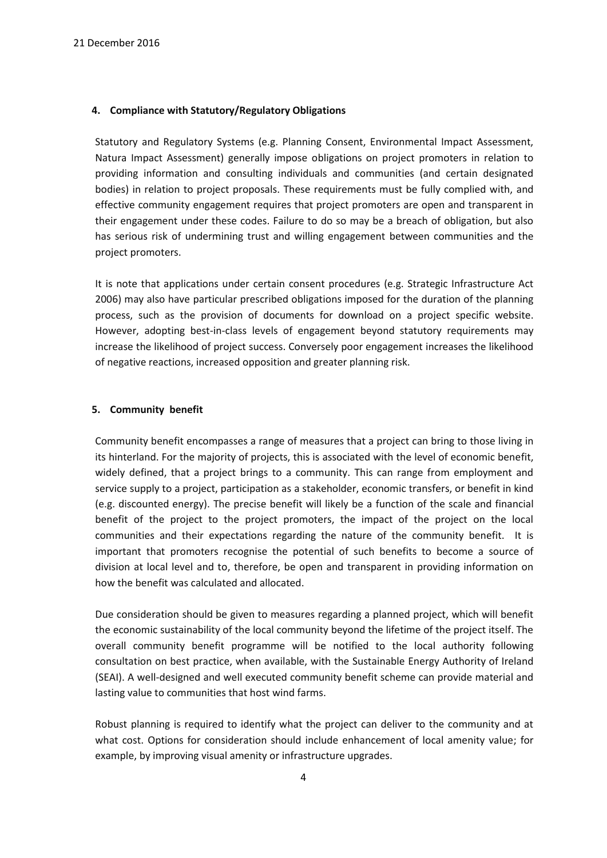#### **4. Compliance with Statutory/Regulatory Obligations**

Statutory and Regulatory Systems (e.g. Planning Consent, Environmental Impact Assessment, Natura Impact Assessment) generally impose obligations on project promoters in relation to providing information and consulting individuals and communities (and certain designated bodies) in relation to project proposals. These requirements must be fully complied with, and effective community engagement requires that project promoters are open and transparent in their engagement under these codes. Failure to do so may be a breach of obligation, but also has serious risk of undermining trust and willing engagement between communities and the project promoters.

It is note that applications under certain consent procedures (e.g. Strategic Infrastructure Act 2006) may also have particular prescribed obligations imposed for the duration of the planning process, such as the provision of documents for download on a project specific website. However, adopting best-in-class levels of engagement beyond statutory requirements may increase the likelihood of project success. Conversely poor engagement increases the likelihood of negative reactions, increased opposition and greater planning risk.

#### **5. Community benefit**

Community benefit encompasses a range of measures that a project can bring to those living in its hinterland. For the majority of projects, this is associated with the level of economic benefit, widely defined, that a project brings to a community. This can range from employment and service supply to a project, participation as a stakeholder, economic transfers, or benefit in kind (e.g. discounted energy). The precise benefit will likely be a function of the scale and financial benefit of the project to the project promoters, the impact of the project on the local communities and their expectations regarding the nature of the community benefit. It is important that promoters recognise the potential of such benefits to become a source of division at local level and to, therefore, be open and transparent in providing information on how the benefit was calculated and allocated.

Due consideration should be given to measures regarding a planned project, which will benefit the economic sustainability of the local community beyond the lifetime of the project itself. The overall community benefit programme will be notified to the local authority following consultation on best practice, when available, with the Sustainable Energy Authority of Ireland (SEAI). A well-designed and well executed community benefit scheme can provide material and lasting value to communities that host wind farms.

Robust planning is required to identify what the project can deliver to the community and at what cost. Options for consideration should include enhancement of local amenity value; for example, by improving visual amenity or infrastructure upgrades.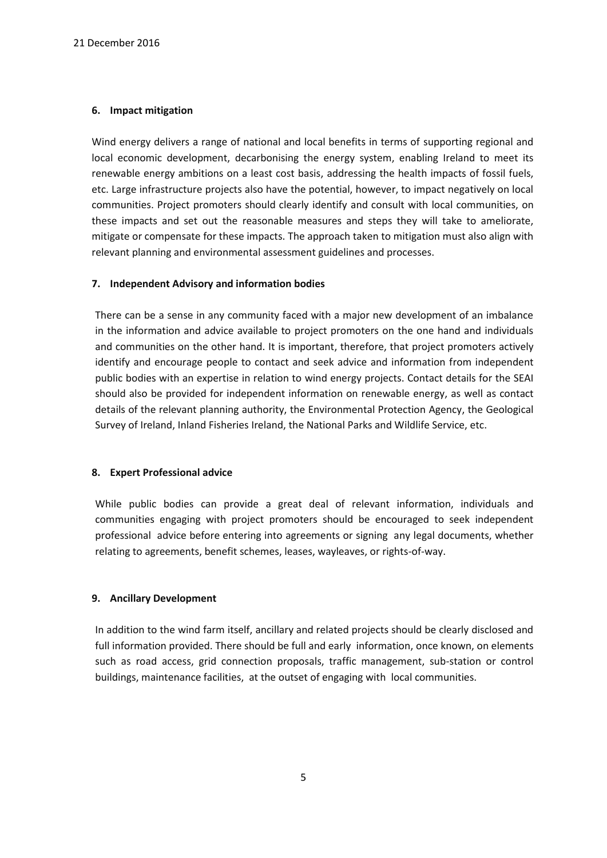#### **6. Impact mitigation**

Wind energy delivers a range of national and local benefits in terms of supporting regional and local economic development, decarbonising the energy system, enabling Ireland to meet its renewable energy ambitions on a least cost basis, addressing the health impacts of fossil fuels, etc. Large infrastructure projects also have the potential, however, to impact negatively on local communities. Project promoters should clearly identify and consult with local communities, on these impacts and set out the reasonable measures and steps they will take to ameliorate, mitigate or compensate for these impacts. The approach taken to mitigation must also align with relevant planning and environmental assessment guidelines and processes.

#### **7. Independent Advisory and information bodies**

There can be a sense in any community faced with a major new development of an imbalance in the information and advice available to project promoters on the one hand and individuals and communities on the other hand. It is important, therefore, that project promoters actively identify and encourage people to contact and seek advice and information from independent public bodies with an expertise in relation to wind energy projects. Contact details for the SEAI should also be provided for independent information on renewable energy, as well as contact details of the relevant planning authority, the Environmental Protection Agency, the Geological Survey of Ireland, Inland Fisheries Ireland, the National Parks and Wildlife Service, etc.

#### **8. Expert Professional advice**

While public bodies can provide a great deal of relevant information, individuals and communities engaging with project promoters should be encouraged to seek independent professional advice before entering into agreements or signing any legal documents, whether relating to agreements, benefit schemes, leases, wayleaves, or rights-of-way.

## **9. Ancillary Development**

In addition to the wind farm itself, ancillary and related projects should be clearly disclosed and full information provided. There should be full and early information, once known, on elements such as road access, grid connection proposals, traffic management, sub-station or control buildings, maintenance facilities, at the outset of engaging with local communities.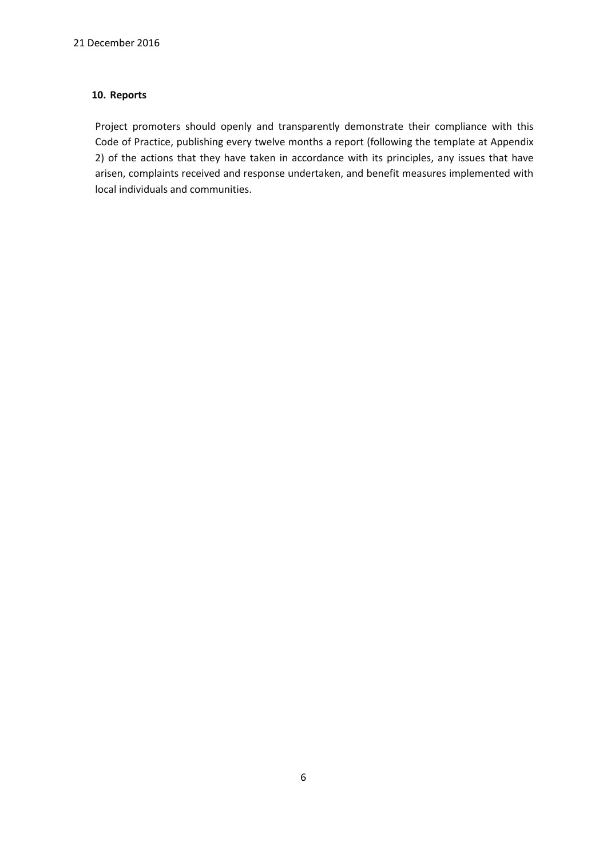#### **10. Reports**

Project promoters should openly and transparently demonstrate their compliance with this Code of Practice, publishing every twelve months a report (following the template at Appendix 2) of the actions that they have taken in accordance with its principles, any issues that have arisen, complaints received and response undertaken, and benefit measures implemented with local individuals and communities.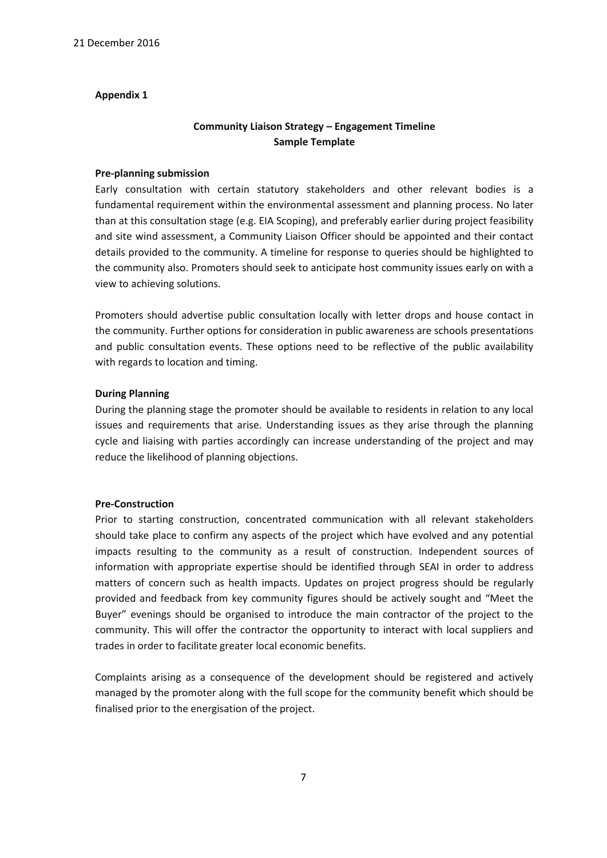#### **Appendix 1**

# **Community Liaison Strategy – Engagement Timeline Sample Template**

#### **Pre-planning submission**

Early consultation with certain statutory stakeholders and other relevant bodies is a fundamental requirement within the environmental assessment and planning process. No later than at this consultation stage (e.g. EIA Scoping), and preferably earlier during project feasibility and site wind assessment, a Community Liaison Officer should be appointed and their contact details provided to the community. A timeline for response to queries should be highlighted to the community also. Promoters should seek to anticipate host community issues early on with a view to achieving solutions.

Promoters should advertise public consultation locally with letter drops and house contact in the community. Further options for consideration in public awareness are schools presentations and public consultation events. These options need to be reflective of the public availability with regards to location and timing.

#### **During Planning**

During the planning stage the promoter should be available to residents in relation to any local issues and requirements that arise. Understanding issues as they arise through the planning cycle and liaising with parties accordingly can increase understanding of the project and may reduce the likelihood of planning objections.

#### **Pre-Construction**

Prior to starting construction, concentrated communication with all relevant stakeholders should take place to confirm any aspects of the project which have evolved and any potential impacts resulting to the community as a result of construction. Independent sources of information with appropriate expertise should be identified through SEAI in order to address matters of concern such as health impacts. Updates on project progress should be regularly provided and feedback from key community figures should be actively sought and "Meet the Buyer" evenings should be organised to introduce the main contractor of the project to the community. This will offer the contractor the opportunity to interact with local suppliers and trades in order to facilitate greater local economic benefits.

Complaints arising as a consequence of the development should be registered and actively managed by the promoter along with the full scope for the community benefit which should be finalised prior to the energisation of the project.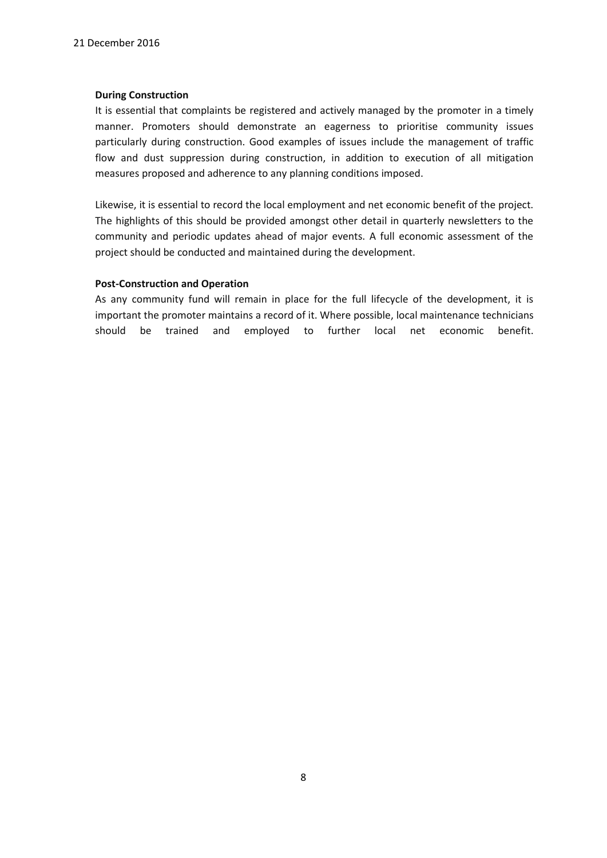#### **During Construction**

It is essential that complaints be registered and actively managed by the promoter in a timely manner. Promoters should demonstrate an eagerness to prioritise community issues particularly during construction. Good examples of issues include the management of traffic flow and dust suppression during construction, in addition to execution of all mitigation measures proposed and adherence to any planning conditions imposed.

Likewise, it is essential to record the local employment and net economic benefit of the project. The highlights of this should be provided amongst other detail in quarterly newsletters to the community and periodic updates ahead of major events. A full economic assessment of the project should be conducted and maintained during the development.

#### **Post-Construction and Operation**

As any community fund will remain in place for the full lifecycle of the development, it is important the promoter maintains a record of it. Where possible, local maintenance technicians should be trained and employed to further local net economic benefit.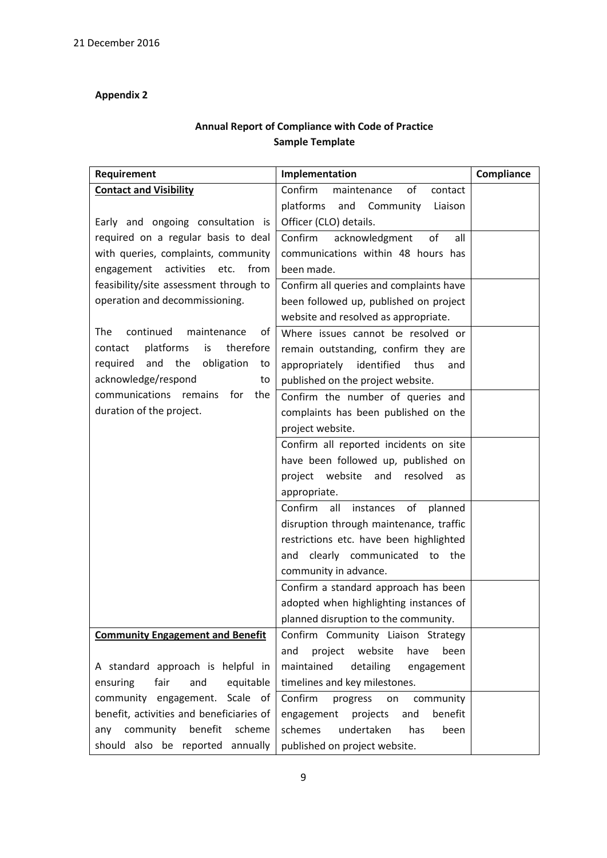# **Appendix 2**

# **Annual Report of Compliance with Code of Practice Sample Template**

| Requirement                                | Implementation                                          | Compliance |
|--------------------------------------------|---------------------------------------------------------|------------|
| <b>Contact and Visibility</b>              | Confirm<br>of<br>maintenance<br>contact                 |            |
|                                            | platforms<br>and Community<br>Liaison                   |            |
| Early and ongoing consultation is          | Officer (CLO) details.                                  |            |
| required on a regular basis to deal        | Confirm<br>acknowledgment<br>of<br>all                  |            |
| with queries, complaints, community        | communications within 48 hours has                      |            |
| engagement activities etc. from            | been made.                                              |            |
| feasibility/site assessment through to     | Confirm all queries and complaints have                 |            |
| operation and decommissioning.             | been followed up, published on project                  |            |
|                                            | website and resolved as appropriate.                    |            |
| continued<br>of<br>The<br>maintenance      | Where issues cannot be resolved or                      |            |
| platforms<br>is<br>therefore<br>contact    | remain outstanding, confirm they are                    |            |
| and<br>the<br>obligation<br>required<br>to | appropriately identified<br>thus<br>and                 |            |
| acknowledge/respond<br>to                  | published on the project website.                       |            |
| communications remains for<br>the          | Confirm the number of queries and                       |            |
| duration of the project.                   | complaints has been published on the                    |            |
|                                            | project website.                                        |            |
|                                            | Confirm all reported incidents on site                  |            |
|                                            | have been followed up, published on                     |            |
|                                            | project website and resolved<br>as                      |            |
|                                            | appropriate.                                            |            |
|                                            | Confirm<br>all<br>instances<br>$\mathsf{of}$<br>planned |            |
|                                            | disruption through maintenance, traffic                 |            |
|                                            | restrictions etc. have been highlighted                 |            |
|                                            | clearly communicated to the<br>and                      |            |
|                                            | community in advance.                                   |            |
|                                            | Confirm a standard approach has been                    |            |
|                                            | adopted when highlighting instances of                  |            |
|                                            | planned disruption to the community.                    |            |
| <b>Community Engagement and Benefit</b>    | Confirm Community Liaison Strategy                      |            |
|                                            | website<br>and<br>project<br>have<br>been               |            |
| A standard approach is helpful in          | maintained<br>detailing<br>engagement                   |            |
| fair<br>and<br>equitable<br>ensuring       | timelines and key milestones.                           |            |
| community engagement. Scale of             | Confirm<br>progress<br>community<br>on                  |            |
| benefit, activities and beneficiaries of   | benefit<br>engagement projects<br>and                   |            |
| any community benefit scheme               | schemes<br>undertaken<br>has<br>been                    |            |
| should also be reported annually           | published on project website.                           |            |